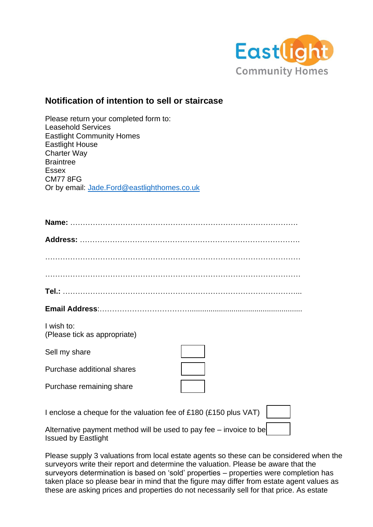

## **Notification of intention to sell or staircase**

| Please return your completed form to:       |
|---------------------------------------------|
| <b>Leasehold Services</b>                   |
| <b>Eastlight Community Homes</b>            |
| <b>Eastlight House</b>                      |
| <b>Charter Way</b>                          |
| <b>Braintree</b>                            |
| <b>Essex</b>                                |
| <b>CM77 8FG</b>                             |
| Or by email: Jade.Ford@eastlighthomes.co.uk |

| I wish to:<br>(Please tick as appropriate) |  |
|--------------------------------------------|--|
| Sell my share                              |  |
| Purchase additional shares                 |  |

Purchase remaining share

I enclose a cheque for the valuation fee of £180 (£150 plus VAT)

Alternative payment method will be used to pay fee – invoice to be Issued by Eastlight

Please supply 3 valuations from local estate agents so these can be considered when the surveyors write their report and determine the valuation. Please be aware that the surveyors determination is based on 'sold' properties – properties were completion has taken place so please bear in mind that the figure may differ from estate agent values as these are asking prices and properties do not necessarily sell for that price. As estate